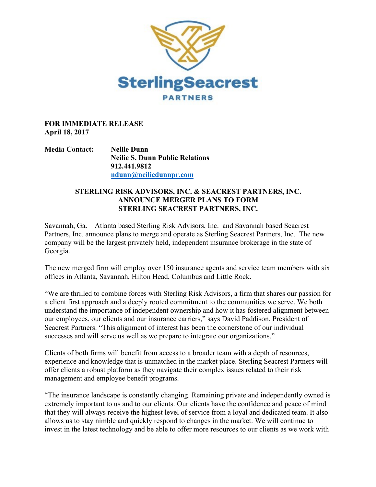

## **FOR IMMEDIATE RELEASE April 18, 2017**

**Media Contact: Neilie Dunn Neilie S. Dunn Public Relations 912.441.9812 ndunn@neiliedunnpr.com**

## **STERLING RISK ADVISORS, INC. & SEACREST PARTNERS, INC. ANNOUNCE MERGER PLANS TO FORM STERLING SEACREST PARTNERS, INC.**

Savannah, Ga. – Atlanta based Sterling Risk Advisors, Inc. and Savannah based Seacrest Partners, Inc. announce plans to merge and operate as Sterling Seacrest Partners, Inc. The new company will be the largest privately held, independent insurance brokerage in the state of Georgia.

The new merged firm will employ over 150 insurance agents and service team members with six offices in Atlanta, Savannah, Hilton Head, Columbus and Little Rock.

"We are thrilled to combine forces with Sterling Risk Advisors, a firm that shares our passion for a client first approach and a deeply rooted commitment to the communities we serve. We both understand the importance of independent ownership and how it has fostered alignment between our employees, our clients and our insurance carriers," says David Paddison, President of Seacrest Partners. "This alignment of interest has been the cornerstone of our individual successes and will serve us well as we prepare to integrate our organizations."

Clients of both firms will benefit from access to a broader team with a depth of resources, experience and knowledge that is unmatched in the market place. Sterling Seacrest Partners will offer clients a robust platform as they navigate their complex issues related to their risk management and employee benefit programs.

"The insurance landscape is constantly changing. Remaining private and independently owned is extremely important to us and to our clients. Our clients have the confidence and peace of mind that they will always receive the highest level of service from a loyal and dedicated team. It also allows us to stay nimble and quickly respond to changes in the market. We will continue to invest in the latest technology and be able to offer more resources to our clients as we work with